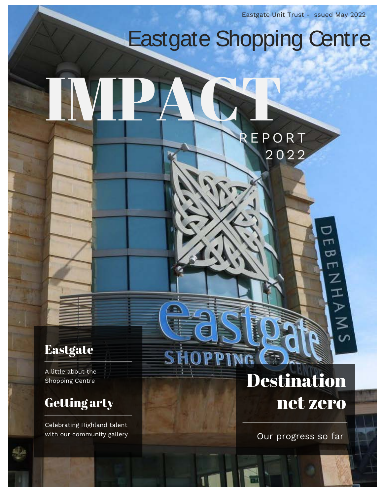Eastgate Unit Trust - Issued May 2022

# Eastgate Shopping Centre

REPORT

2022

π T ಹ ٣٦

**NHA<br>NHA<br>NH** 

IMPACT

## **Eastgate**

A little about the Shopping Centre

# Getting arty

Celebrating Highland talent with our community gallery

# **Destination** net zero

**SHOPPING** 

Our progress so far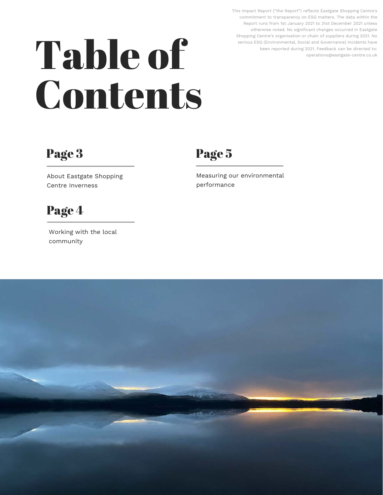This Impact Report ("the Report") reflects Eastgate Shopping Centre's commitment to transparency on ESG matters. The data within the Report runs from 1st January 2021 to 31st December 2021 unless otherwise noted. No significant changes occurred in Eastgate Shopping Centre's organisation or chain of suppliers during 2021. No serious ESG (Environmental, Social and Governance) incidents have been reported during 2021. Feedback can be directed to: operations@eastgate-centre.co.uk

# Table of Contents

# Page 3

Page 5

About Eastgate Shopping Centre Inverness

# Page 4

Working with the local community

Measuring our environmental performance

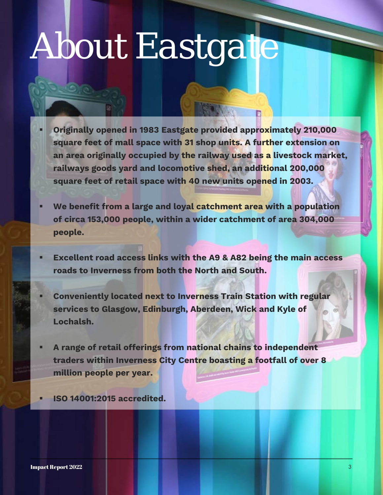# *About Eastgate*

- **Originally opened in 1983 Eastgate provided approximately 210,000 square feet of mall space with 31 shop units. A further extension on an area originally occupied by the railway used as a livestock market, railways goods yard and locomotive shed, an additional 200,000 square feet of retail space with 40 new units opened in 2003.**
- **We benefit from a large and loyal catchment area with a population of circa 153,000 people, within a wider catchment of area 304,000 people.**
- **Excellent road access links with the A9 & A82 being the main access roads to Inverness from both the North and South.**
- **Conveniently located next to Inverness Train Station with regular services to Glasgow, Edinburgh, Aberdeen, Wick and Kyle of Lochalsh.**
- **A range of retail offerings from national chains to independent traders within Inverness City Centre boasting a footfall of over 8 million people per year.**
- **ISO 14001:2015 accredited.**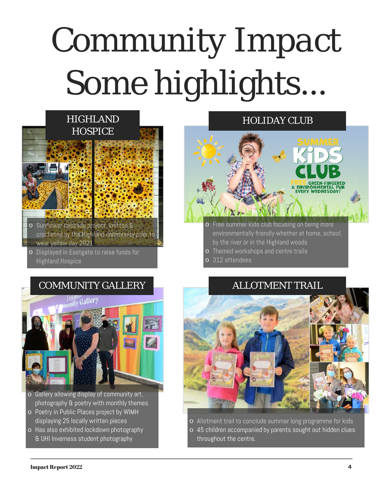# *Community Impact*  Some highlights.



- wear yellow day 2021
- o Displayed in Eastgate to raise funds for **Highland Hospice**

### HOLIDAY CLUB

#### Free summer kids club focusing on being more o environmentally friendly whether at home, school, by the river or in the Highland woods

E ENVIRONMENTAL

- o Themed workshops and centre trails
- o 312 attendees



- o Gallery allowing display of community art, photography & poetry with monthly themes.
- o Poetry in Public Places project by WIMH displaying 25 locally written pieces
- o Has also exhibited lockdown photography & UHI Inverness student photography

### COMMUNITY GALLERY **ALLOTMENT TRAIL**



o Allotment trail to conclude summer long programme for kids

o 45 children accompanied by parents sought out hidden clues throughout the centre.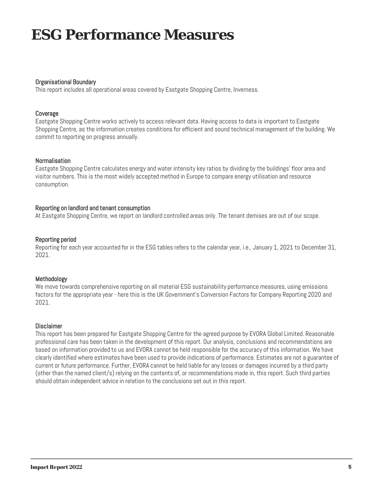# **ESG Performance Measures**

#### Organisational Boundary

This report includes all operational areas covered by Eastgate Shopping Centre, Inverness.

#### Coverage

Eastgate Shopping Centre works actively to access relevant data. Having access to data is important to Eastgate Shopping Centre, as the information creates conditions for efficient and sound technical management of the building. We commit to reporting on progress annually.

#### Normalisation

Eastgate Shopping Centre calculates energy and water intensity key ratios by dividing by the buildings' floor area and visitor numbers. This is the most widely accepted method in Europe to compare energy utilisation and resource consumption.

#### Reporting on landlord and tenant consumption

At Eastgate Shopping Centre, we report on landlord controlled areas only. The tenant demises are out of our scope.

#### Reporting period

Reporting for each year accounted for in the ESG tables refers to the calendar year, i.e., January 1, 2021 to December 31, 2021.

#### Methodology

We move towards comprehensive reporting on all material ESG sustainability performance measures, using emissions factors for the appropriate year - here this is the UK Government's Conversion Factors for Company Reporting 2020 and 2021.

#### **Disclaimer**

This report has been prepared for Eastgate Shopping Centre for the agreed purpose by EVORA Global Limited. Reasonable professional care has been taken in the development of this report. Our analysis, conclusions and recommendations are based on information provided to us and EVORA cannot be held responsible for the accuracy of this information. We have clearly identified where estimates have been used to provide indications of performance. Estimates are not a guarantee of current or future performance. Further, EVORA cannot be held liable for any losses or damages incurred by a third party (other than the named client/s) relying on the contents of, or recommendations made in, this report. Such third parties should obtain independent advice in relation to the conclusions set out in this report.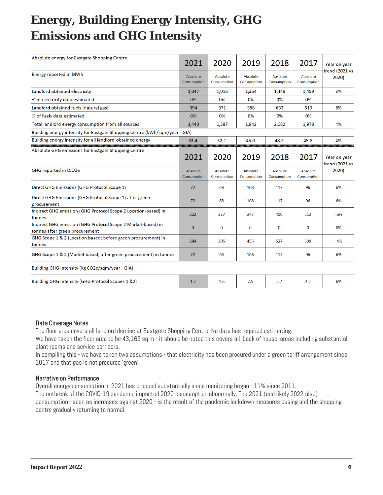# **Energy, Building Energy Intensity, GHG Emissions and GHG Intensity**

| Absolute energy for Eastgate Shopping Centre                                                   | 2021                    | 2020                    | 2019                    | 2018                    | 2017                    | Year on year                   |  |
|------------------------------------------------------------------------------------------------|-------------------------|-------------------------|-------------------------|-------------------------|-------------------------|--------------------------------|--|
| <b>Energy reported in MWh</b>                                                                  | Absolute<br>Consumption | Absolute<br>Consumption | Absolute<br>Consumption | Absolute<br>Consumption | Absolute<br>Consumption | trend (2021 vs<br>2020)        |  |
| Landlord obtained electricity                                                                  | 1,047                   | 1,016                   | 1,354                   | 1,449                   | 1,459                   | 3%                             |  |
| % of electricity data estimated                                                                | 0%                      | 0%                      | 0%                      | 0%                      | 0%                      |                                |  |
| Landlord obtained fuels (natural gas)                                                          | 394                     | 371                     | 588                     | 633                     | 519                     | 6%                             |  |
| % of fuels data estimated                                                                      | 0%                      | 0%                      | 0%                      | 0%                      | 0%                      |                                |  |
| Total landlord energy consumption from all sources                                             | 1,440                   | 1,387                   | 1,942                   | 2,082                   | 1,978                   | 4%                             |  |
| Building energy intensity for Eastgate Shopping Centre (kWh/sqm/year - GIA)                    |                         |                         |                         |                         |                         |                                |  |
| Building energy intensity for all landlord-obtained energy                                     | 33.4                    | 32.1                    | 45.0                    | 48.2                    | 45.8                    | 4%                             |  |
| Absolute GHG emissions for Eastgate Shopping Centre                                            | 2021                    | 2020                    | 2019                    | 2018                    | 2017                    | Year on year<br>trend (2021 vs |  |
| GHG reported in tCO2e                                                                          | Absolute<br>Consumption | Absolute<br>Consumption | Absolute<br>Consumption | Absolute<br>Consumption | Absolute<br>Consumption | 2020)                          |  |
| Direct GHG Emissions (GHG Protocol Scope 1)                                                    | 72                      | 68                      | 108                     | 117                     | 96                      | 6%                             |  |
| Direct GHG Emissions (GHG Protocol Scope 1) after green<br>procurement                         | 72                      | 68                      | 108                     | 117                     | 96                      | 6%                             |  |
| Indirect GHG emission (GHG Protocol Scope 2 Location-based) in<br>tonnes                       | 222                     | 237                     | 347                     | 410                     | 513                     | $-6%$                          |  |
| Indirect GHG emission (GHG Protocol Scope 2 Market-based) in<br>tonnes after green procurement | $\bf{0}$                | 0                       | $\bf{0}$                | $\bf{0}$                | $\bf{0}$                | 0%                             |  |
| GHG Scope 1 & 2 (Location based; before green procurement) in<br>tonnes                        | 294                     | 305                     | 455                     | 527                     | 609                     | $-4%$                          |  |
| GHG Scope 1 & 2 (Market based; after green procurement) in tonnes                              | 72                      | 68                      | 108                     | 117                     | 96                      | 6%                             |  |
| Building GHG Intensity (Kg CO2e/sqm/year - GIA)                                                |                         |                         |                         |                         |                         |                                |  |
| Building GHG Intensity (GHG Protocol Scopes 1 &2)                                              | 1.7                     | 1.6                     | 2.5                     | 2.7                     | 2.2                     | 6%                             |  |

#### Data Coverage Notes

The floor area covers all landlord demise at Eastgate Shopping Centre. No data has required estimating.

We have taken the floor area to be 43,169 sq m - it should be noted this covers all 'back of house' areas including substantial plant rooms and service corridors.

In compiling this - we have taken two assumptions - that electricity has been procured under a green tariff arrangement since 2017 and that gas is not procured 'green'.

#### Narrative on Performance

Overall energy consumption in 2021 has dropped substantially since monitoring began - 11% since 2011.

The outbreak of the COVID-19 pandemic impacted 2020 consumption abnormally. The 2021 (and likely 2022 also)

consumption - seen as increases against 2020 - is the result of the pandemic lockdown measures easing and the shopping centre gradually returning to normal.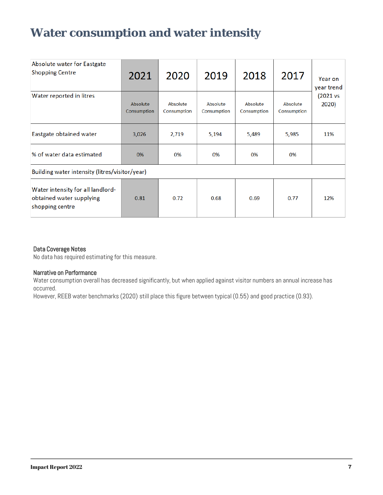# **Water consumption and water intensity**

| Absolute water for Eastgate<br><b>Shopping Centre</b>                            | 2021                    | 2020                    | 2019                    | 2018                    | 2017                    | Year on<br>year trend |
|----------------------------------------------------------------------------------|-------------------------|-------------------------|-------------------------|-------------------------|-------------------------|-----------------------|
| Water reported in litres                                                         | Absolute<br>Consumption | Absolute<br>Consumption | Absolute<br>Consumption | Absolute<br>Consumption | Absolute<br>Consumption | (2021 vs<br>2020)     |
| Eastgate obtained water                                                          | 3,026                   | 2,719                   | 5,194                   | 5,489                   | 5,985                   | 11%                   |
| % of water data estimated                                                        | 0%                      | 0%                      | 0%                      | 0%                      | 0%                      |                       |
| Building water intensity (litres/visitor/year)                                   |                         |                         |                         |                         |                         |                       |
| Water intensity for all landlord-<br>obtained water supplying<br>shopping centre | 0.81                    | 0.72                    | 0.68                    | 0.69                    | 0.77                    | 12%                   |

#### Data Coverage Notes

No data has required estimating for this measure.

#### Narrative on Performance

Water consumption overall has decreased significantly, but when applied against visitor numbers an annual increase has occurred.

However, REEB water benchmarks (2020) still place this figure between typical (0.55) and good practice (0.93).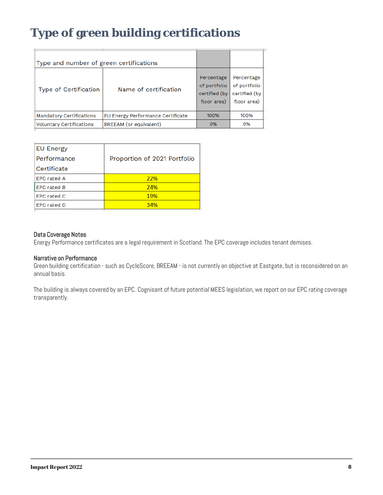# **Type of green building certifications**

| Type and number of green certifications |                                   |                                                            |                                                            |
|-----------------------------------------|-----------------------------------|------------------------------------------------------------|------------------------------------------------------------|
| Type of Certification                   | Name of certification             | Percentage<br>of portfolio<br>certified (by<br>floor area) | Percentage<br>of portfolio<br>certified (by<br>floor area) |
| Mandatory Certifications                | EU Energy Performance Certificate | 100%                                                       | 100%                                                       |
| <b>Voluntary Certifications</b>         | BREEAM (or equivalent)            | 0%                                                         | 0%                                                         |
|                                         |                                   |                                                            |                                                            |

| <b>EU Energy</b>   |                              |
|--------------------|------------------------------|
| Performance        | Proportion of 2021 Portfolio |
| Certificate        |                              |
| <b>EPC rated A</b> | 22%                          |
| <b>EPC rated B</b> | 24%                          |
| <b>EPC rated C</b> | <b>19%</b>                   |
| <b>EPC rated D</b> | 34%                          |
|                    |                              |

#### Data Coverage Notes

Energy Performance certificates are a legal requirement in Scotland. The EPC coverage includes tenant demises.

#### Narrative on Performance

Green building certification - such as CycleScore, BREEAM - is not currently an objective at Eastgate, but is reconsidered on an annual basis.

The building is always covered by an EPC. Cognisant of future potential MEES legislation, we report on our EPC rating coverage transparently.